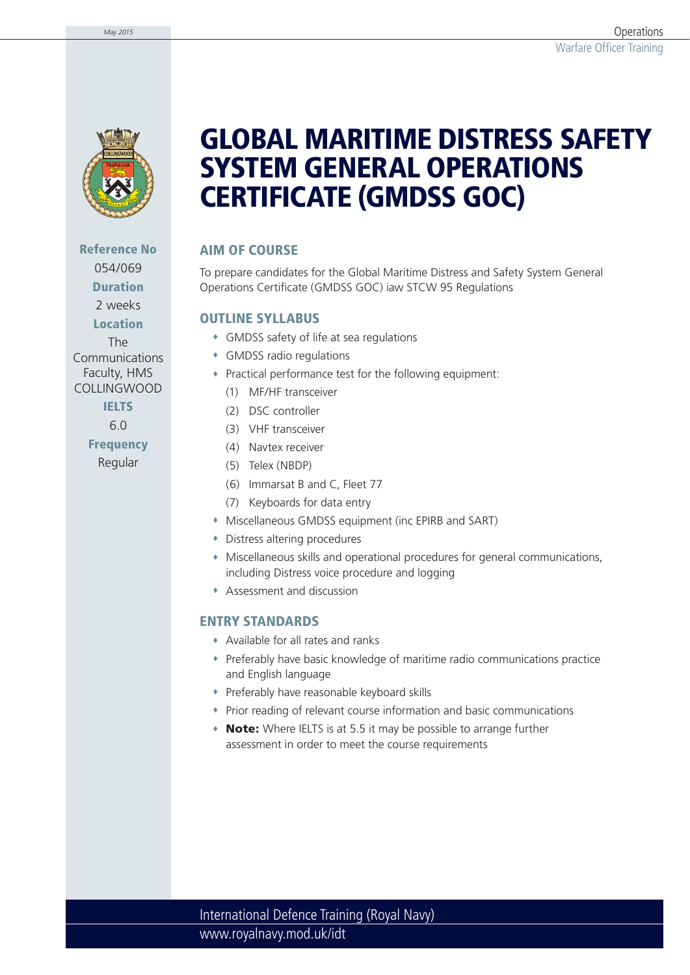

**Reference No** 054/069 **Duration** 2 weeks

**Location** The Communications Faculty, HMS COLLINGWOOD

### **IELTS**

6.0

**Frequency** Regular

## **GLOBAL MARITIME DISTRESS SAFETY SYSTEM GENERAL OPERATIONS CERTIFICATE (GMDSS GOC)**

### **AIM OF COURSE**

To prepare candidates for the Global Maritime Distress and Safety System General Operations Certificate (GMDSS GOC) iaw STCW 95 Regulations

#### **OUTLINE SYLLABUS**

- GMDSS safety of life at sea regulations
- GMDSS radio regulations
- Practical performance test for the following equipment:
	- (1) MF/HF transceiver
	- (2) DSC controller
	- (3) VHF transceiver
	- (4) Navtex receiver
	- (5) Telex (NBDP)
	- (6) Immarsat B and C, Fleet 77
	- (7) Keyboards for data entry
- Miscellaneous GMDSS equipment (inc EPIRB and SART)
- Distress altering procedures
- Miscellaneous skills and operational procedures for general communications, including Distress voice procedure and logging
- Assessment and discussion

#### **ENTRY STANDARDS**

- Available for all rates and ranks
- Preferably have basic knowledge of maritime radio communications practice and English language
- Preferably have reasonable keyboard skills
- Prior reading of relevant course information and basic communications
- **Note:** Where IELTS is at 5.5 it may be possible to arrange further assessment in order to meet the course requirements